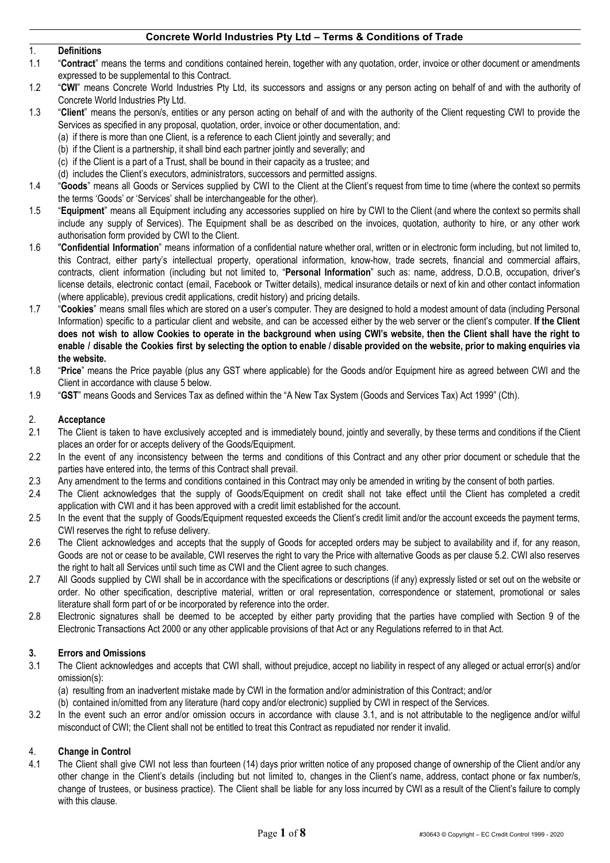#### 1. **Definitions**

- 1.1 "**Contract**" means the terms and conditions contained herein, together with any quotation, order, invoice or other document or amendments expressed to be supplemental to this Contract.
- 1.2 "**CWI**" means Concrete World Industries Pty Ltd, its successors and assigns or any person acting on behalf of and with the authority of Concrete World Industries Pty Ltd.
- 1.3 "**Client**" means the person/s, entities or any person acting on behalf of and with the authority of the Client requesting CWI to provide the Services as specified in any proposal, quotation, order, invoice or other documentation, and:
	- (a) if there is more than one Client, is a reference to each Client jointly and severally; and
	- (b) if the Client is a partnership, it shall bind each partner jointly and severally; and
	- (c) if the Client is a part of a Trust, shall be bound in their capacity as a trustee; and
	- (d) includes the Client's executors, administrators, successors and permitted assigns.
- 1.4 "**Goods**" means all Goods or Services supplied by CWI to the Client at the Client's request from time to time (where the context so permits the terms 'Goods' or 'Services' shall be interchangeable for the other).
- 1.5 "**Equipment**" means all Equipment including any accessories supplied on hire by CWI to the Client (and where the context so permits shall include any supply of Services). The Equipment shall be as described on the invoices, quotation, authority to hire, or any other work authorisation form provided by CWI to the Client.
- 1.6 "**Confidential Information**" means information of a confidential nature whether oral, written or in electronic form including, but not limited to, this Contract, either party's intellectual property, operational information, know-how, trade secrets, financial and commercial affairs, contracts, client information (including but not limited to, "**Personal Information**" such as: name, address, D.O.B, occupation, driver's license details, electronic contact (email, Facebook or Twitter details), medical insurance details or next of kin and other contact information (where applicable), previous credit applications, credit history) and pricing details.
- 1.7 "**Cookies**" means small files which are stored on a user's computer. They are designed to hold a modest amount of data (including Personal Information) specific to a particular client and website, and can be accessed either by the web server or the client's computer. **If the Client** does not wish to allow Cookies to operate in the background when using CWI's website, then the Client shall have the right to enable / disable the Cookies first by selecting the option to enable / disable provided on the website, prior to making enquiries via **the website.**
- 1.8 "**Price**" means the Price payable (plus any GST where applicable) for the Goods and/or Equipment hire as agreed between CWI and the Client in accordance with clause 5 below.
- 1.9 "**GST**" means Goods and Services Tax as defined within the "A New Tax System (Goods and Services Tax) Act 1999" (Cth).

#### 2. **Acceptance**

- 2.1 The Client is taken to have exclusively accepted and is immediately bound, jointly and severally, by these terms and conditions if the Client places an order for or accepts delivery of the Goods/Equipment.
- 2.2 In the event of any inconsistency between the terms and conditions of this Contract and any other prior document or schedule that the parties have entered into, the terms of this Contract shall prevail.
- 2.3 Any amendment to the terms and conditions contained in this Contract may only be amended in writing by the consent of both parties.
- 2.4 The Client acknowledges that the supply of Goods/Equipment on credit shall not take effect until the Client has completed a credit application with CWI and it has been approved with a credit limit established for the account.
- 2.5 In the event that the supply of Goods/Equipment requested exceeds the Client's credit limit and/or the account exceeds the payment terms, CWI reserves the right to refuse delivery.
- 2.6 The Client acknowledges and accepts that the supply of Goods for accepted orders may be subject to availability and if, for any reason, Goods are not or cease to be available, CWI reserves the right to vary the Price with alternative Goods as per clause 5.2. CWI also reserves the right to halt all Services until such time as CWI and the Client agree to such changes.
- 2.7 All Goods supplied by CWI shall be in accordance with the specifications or descriptions (if any) expressly listed or set out on the website or order. No other specification, descriptive material, written or oral representation, correspondence or statement, promotional or sales literature shall form part of or be incorporated by reference into the order.
- 2.8 Electronic signatures shall be deemed to be accepted by either party providing that the parties have complied with Section 9 of the Electronic Transactions Act 2000 or any other applicable provisions of that Act or any Regulations referred to in that Act.

## **3. Errors and Omissions**

- 3.1 The Client acknowledges and accepts that CWI shall, without prejudice, accept no liability in respect of any alleged or actual error(s) and/or omission(s):
	- (a) resulting from an inadvertent mistake made by CWI in the formation and/or administration of this Contract; and/or
	- (b) contained in/omitted from any literature (hard copy and/or electronic) supplied by CWI in respect of the Services.
- 3.2 In the event such an error and/or omission occurs in accordance with clause 3.1, and is not attributable to the negligence and/or wilful misconduct of CWI; the Client shall not be entitled to treat this Contract as repudiated nor render it invalid.

## 4. **Change in Control**

4.1 The Client shall give CWI not less than fourteen (14) days prior written notice of any proposed change of ownership of the Client and/or any other change in the Client's details (including but not limited to, changes in the Client's name, address, contact phone or fax number/s, change of trustees, or business practice). The Client shall be liable for any loss incurred by CWI as a result of the Client's failure to comply with this clause.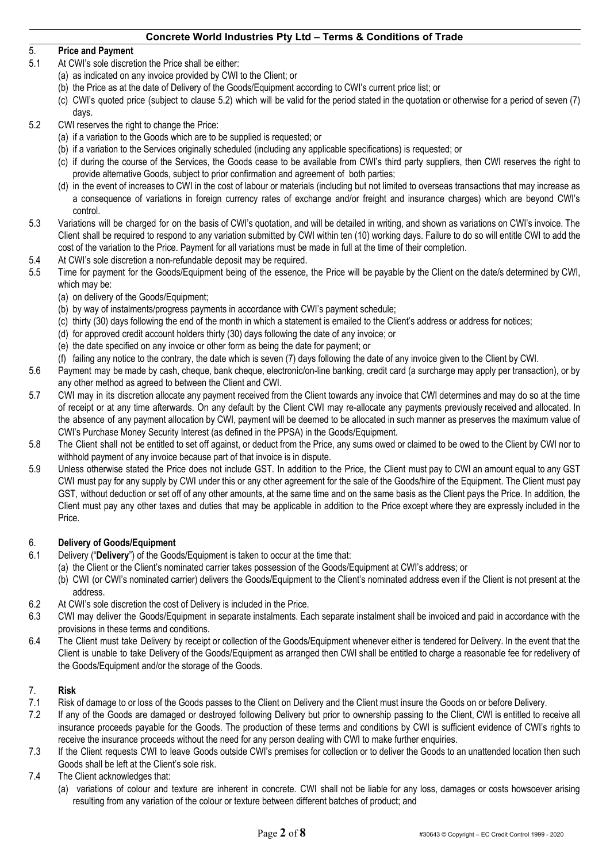# 5. **Price and Payment**

- 5.1 At CWI's sole discretion the Price shall be either:
	- (a) as indicated on any invoice provided by CWI to the Client; or
	- (b) the Price as at the date of Delivery of the Goods/Equipment according to CWI's current price list; or
	- (c) CWI's quoted price (subject to clause 5.2) which will be valid for the period stated in the quotation or otherwise for a period of seven (7) days.
- 5.2 CWI reserves the right to change the Price:
	- (a) if a variation to the Goods which are to be supplied is requested; or
	- (b) if a variation to the Services originally scheduled (including any applicable specifications) is requested; or
	- (c) if during the course of the Services, the Goods cease to be available from CWI's third party suppliers, then CWI reserves the right to provide alternative Goods, subject to prior confirmation and agreement of both parties;
	- (d) in the event of increases to CWI in the cost of labour or materials (including but not limited to overseas transactions that may increase as a consequence of variations in foreign currency rates of exchange and/or freight and insurance charges) which are beyond CWI's control.
- 5.3 Variations will be charged for on the basis of CWI's quotation, and will be detailed in writing, and shown as variations on CWI's invoice. The Client shall be required to respond to any variation submitted by CWI within ten (10) working days. Failure to do so will entitle CWI to add the cost of the variation to the Price. Payment for all variations must be made in full at the time of their completion.
- 5.4 At CWI's sole discretion a non-refundable deposit may be required.
- 5.5 Time for payment for the Goods/Equipment being of the essence, the Price will be payable by the Client on the date/s determined by CWI, which may be:
	- (a) on delivery of the Goods/Equipment;
	- (b) by way of instalments/progress payments in accordance with CWI's payment schedule;
	- (c) thirty (30) days following the end of the month in which a statement is emailed to the Client's address or address for notices;
	- (d) for approved credit account holders thirty (30) days following the date of any invoice; or
	- (e) the date specified on any invoice or other form as being the date for payment; or
	- (f) failing any notice to the contrary, the date which is seven (7) days following the date of any invoice given to the Client by CWI.
- 5.6 Payment may be made by cash, cheque, bank cheque, electronic/on-line banking, credit card (a surcharge may apply per transaction), or by any other method as agreed to between the Client and CWI.
- 5.7 CWI may in its discretion allocate any payment received from the Client towards any invoice that CWI determines and may do so at the time of receipt or at any time afterwards. On any default by the Client CWI may re-allocate any payments previously received and allocated. In the absence of any payment allocation by CWI, payment will be deemed to be allocated in such manner as preserves the maximum value of CWI's Purchase Money Security Interest (as defined in the PPSA) in the Goods/Equipment.
- 5.8 The Client shall not be entitled to set off against, or deduct from the Price, any sums owed or claimed to be owed to the Client by CWI nor to withhold payment of any invoice because part of that invoice is in dispute.
- 5.9 Unless otherwise stated the Price does not include GST. In addition to the Price, the Client must pay to CWI an amount equal to any GST CWI must pay for any supply by CWI under this or any other agreement for the sale of the Goods/hire of the Equipment. The Client must pay GST, without deduction or set off of any other amounts, at the same time and on the same basis as the Client pays the Price. In addition, the Client must pay any other taxes and duties that may be applicable in addition to the Price except where they are expressly included in the Price.

## 6. **Delivery of Goods/Equipment**

- 6.1 Delivery ("**Delivery**") of the Goods/Equipment is taken to occur at the time that:
	- (a) the Client or the Client's nominated carrier takes possession of the Goods/Equipment at CWI's address; or
		- (b) CWI (or CWI's nominated carrier) delivers the Goods/Equipment to the Client's nominated address even if the Client is not present at the address.
- 6.2 At CWI's sole discretion the cost of Delivery is included in the Price.
- 6.3 CWI may deliver the Goods/Equipment in separate instalments. Each separate instalment shall be invoiced and paid in accordance with the provisions in these terms and conditions.
- 6.4 The Client must take Delivery by receipt or collection of the Goods/Equipment whenever either is tendered for Delivery. In the event that the Client is unable to take Delivery of the Goods/Equipment as arranged then CWI shall be entitled to charge a reasonable fee for redelivery of the Goods/Equipment and/or the storage of the Goods.

## 7. **Risk**

- 7.1 Risk of damage to or loss of the Goods passes to the Client on Delivery and the Client must insure the Goods on or before Delivery.
- 7.2 If any of the Goods are damaged or destroyed following Delivery but prior to ownership passing to the Client, CWI is entitled to receive all insurance proceeds payable for the Goods. The production of these terms and conditions by CWI is sufficient evidence of CWI's rights to receive the insurance proceeds without the need for any person dealing with CWI to make further enquiries.
- 7.3 If the Client requests CWI to leave Goods outside CWI's premises for collection or to deliver the Goods to an unattended location then such Goods shall be left at the Client's sole risk.
- 7.4 The Client acknowledges that:
	- (a) variations of colour and texture are inherent in concrete. CWI shall not be liable for any loss, damages or costs howsoever arising resulting from any variation of the colour or texture between different batches of product; and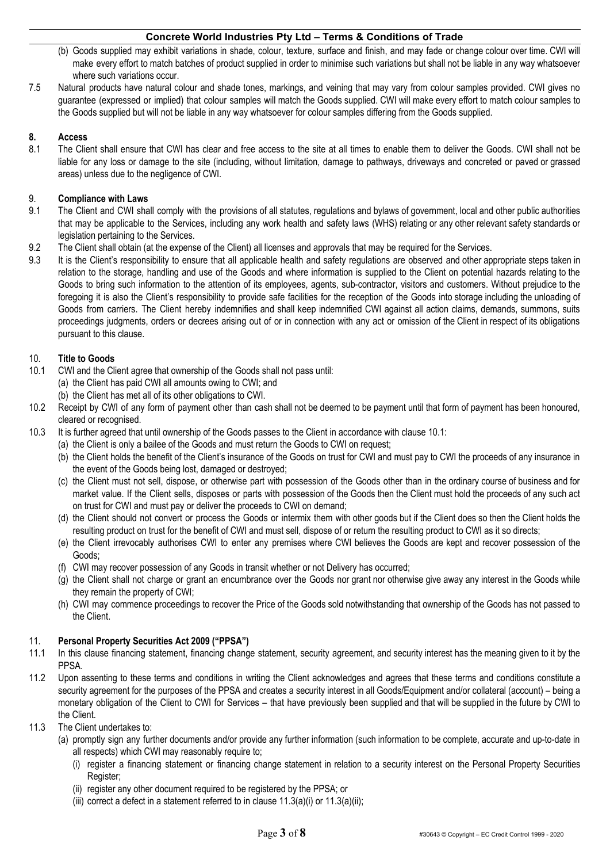- (b) Goods supplied may exhibit variations in shade, colour, texture, surface and finish, and may fade or change colour over time. CWI will make every effort to match batches of product supplied in order to minimise such variations but shall not be liable in any way whatsoever where such variations occur.
- 7.5 Natural products have natural colour and shade tones, markings, and veining that may vary from colour samples provided. CWI gives no guarantee (expressed or implied) that colour samples will match the Goods supplied. CWI will make every effort to match colour samples to the Goods supplied but will not be liable in any way whatsoever for colour samples differing from the Goods supplied.

## **8. Access**

8.1 The Client shall ensure that CWI has clear and free access to the site at all times to enable them to deliver the Goods. CWI shall not be liable for any loss or damage to the site (including, without limitation, damage to pathways, driveways and concreted or paved or grassed areas) unless due to the negligence of CWI.

## 9. **Compliance with Laws**

- 9.1 The Client and CWI shall comply with the provisions of all statutes, regulations and bylaws of government, local and other public authorities that may be applicable to the Services, including any work health and safety laws (WHS) relating or any other relevant safety standards or legislation pertaining to the Services.
- 9.2 The Client shall obtain (at the expense of the Client) all licenses and approvals that may be required for the Services.
- 9.3 It is the Client's responsibility to ensure that all applicable health and safety regulations are observed and other appropriate steps taken in relation to the storage, handling and use of the Goods and where information is supplied to the Client on potential hazards relating to the Goods to bring such information to the attention of its employees, agents, sub-contractor, visitors and customers. Without prejudice to the foregoing it is also the Client's responsibility to provide safe facilities for the reception of the Goods into storage including the unloading of Goods from carriers. The Client hereby indemnifies and shall keep indemnified CWI against all action claims, demands, summons, suits proceedings judgments, orders or decrees arising out of or in connection with any act or omission of the Client in respect of its obligations pursuant to this clause.

# 10. **Title to Goods**

- 10.1 CWI and the Client agree that ownership of the Goods shall not pass until:
	- (a) the Client has paid CWI all amounts owing to CWI; and
	- (b) the Client has met all of its other obligations to CWI.
- 10.2 Receipt by CWI of any form of payment other than cash shall not be deemed to be payment until that form of payment has been honoured, cleared or recognised.
- 10.3 It is further agreed that until ownership of the Goods passes to the Client in accordance with clause 10.1:
	- (a) the Client is only a bailee of the Goods and must return the Goods to CWI on request;
		- (b) the Client holds the benefit of the Client's insurance of the Goods on trust for CWI and must pay to CWI the proceeds of any insurance in the event of the Goods being lost, damaged or destroyed;
		- (c) the Client must not sell, dispose, or otherwise part with possession of the Goods other than in the ordinary course of business and for market value. If the Client sells, disposes or parts with possession of the Goods then the Client must hold the proceeds of any such act on trust for CWI and must pay or deliver the proceeds to CWI on demand;
		- (d) the Client should not convert or process the Goods or intermix them with other goods but if the Client does so then the Client holds the resulting product on trust for the benefit of CWI and must sell, dispose of or return the resulting product to CWI as it so directs;
		- (e) the Client irrevocably authorises CWI to enter any premises where CWI believes the Goods are kept and recover possession of the Goods;
		- (f) CWI may recover possession of any Goods in transit whether or not Delivery has occurred;
		- (g) the Client shall not charge or grant an encumbrance over the Goods nor grant nor otherwise give away any interest in the Goods while they remain the property of CWI;
		- (h) CWI may commence proceedings to recover the Price of the Goods sold notwithstanding that ownership of the Goods has not passed to the Client.

## 11. **Personal Property Securities Act 2009 ("PPSA")**

- 11.1 In this clause financing statement, financing change statement, security agreement, and security interest has the meaning given to it by the PPSA.
- 11.2 Upon assenting to these terms and conditions in writing the Client acknowledges and agrees that these terms and conditions constitute a security agreement for the purposes of the PPSA and creates a security interest in all Goods/Equipment and/or collateral (account) – being a monetary obligation of the Client to CWI for Services – that have previously been supplied and that will be supplied in the future by CWI to the Client.
- 11.3 The Client undertakes to:
	- (a) promptly sign any further documents and/or provide any further information (such information to be complete, accurate and up-to-date in all respects) which CWI may reasonably require to;
		- (i) register a financing statement or financing change statement in relation to a security interest on the Personal Property Securities Register;
		- (ii) register any other document required to be registered by the PPSA; or
		- (iii) correct a defect in a statement referred to in clause  $11.3(a)(i)$  or  $11.3(a)(ii)$ ;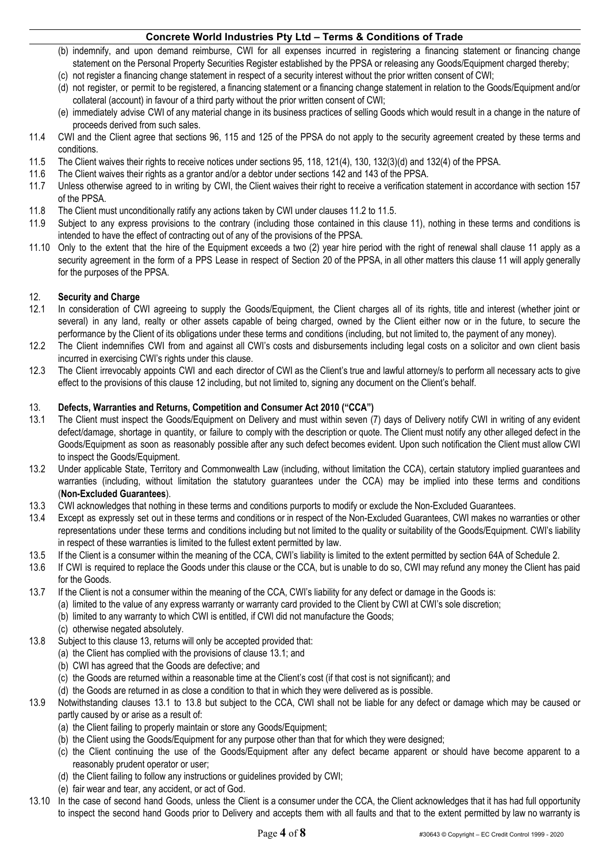- (b) indemnify, and upon demand reimburse, CWI for all expenses incurred in registering a financing statement or financing change statement on the Personal Property Securities Register established by the PPSA or releasing any Goods/Equipment charged thereby;
- (c) not register a financing change statement in respect of a security interest without the prior written consent of CWI;
- (d) not register, or permit to be registered, a financing statement or a financing change statement in relation to the Goods/Equipment and/or collateral (account) in favour of a third party without the prior written consent of CWI;
- (e) immediately advise CWI of any material change in its business practices of selling Goods which would result in a change in the nature of proceeds derived from such sales.
- 11.4 CWI and the Client agree that sections 96, 115 and 125 of the PPSA do not apply to the security agreement created by these terms and conditions.
- 11.5 The Client waives their rights to receive notices under sections 95, 118, 121(4), 130, 132(3)(d) and 132(4) of the PPSA.
- 11.6 The Client waives their rights as a grantor and/or a debtor under sections 142 and 143 of the PPSA.
- 11.7 Unless otherwise agreed to in writing by CWI, the Client waives their right to receive a verification statement in accordance with section 157 of the PPSA.
- 11.8 The Client must unconditionally ratify any actions taken by CWI under clauses 11.2 to 11.5.
- 11.9 Subject to any express provisions to the contrary (including those contained in this clause 11), nothing in these terms and conditions is intended to have the effect of contracting out of any of the provisions of the PPSA.
- 11.10 Only to the extent that the hire of the Equipment exceeds a two (2) year hire period with the right of renewal shall clause 11 apply as a security agreement in the form of a PPS Lease in respect of Section 20 of the PPSA, in all other matters this clause 11 will apply generally for the purposes of the PPSA.

#### 12. **Security and Charge**

- 12.1 In consideration of CWI agreeing to supply the Goods/Equipment, the Client charges all of its rights, title and interest (whether joint or several) in any land, realty or other assets capable of being charged, owned by the Client either now or in the future, to secure the performance by the Client of its obligations under these terms and conditions (including, but not limited to, the payment of any money).
- 12.2 The Client indemnifies CWI from and against all CWI's costs and disbursements including legal costs on a solicitor and own client basis incurred in exercising CWI's rights under this clause.
- 12.3 The Client irrevocably appoints CWI and each director of CWI as the Client's true and lawful attorney/s to perform all necessary acts to give effect to the provisions of this clause 12 including, but not limited to, signing any document on the Client's behalf.

#### 13. **Defects, Warranties and Returns, Competition and Consumer Act 2010 ("CCA")**

- 13.1 The Client must inspect the Goods/Equipment on Delivery and must within seven (7) days of Delivery notify CWI in writing of any evident defect/damage, shortage in quantity, or failure to comply with the description or quote. The Client must notify any other alleged defect in the Goods/Equipment as soon as reasonably possible after any such defect becomes evident. Upon such notification the Client must allow CWI to inspect the Goods/Equipment.
- 13.2 Under applicable State, Territory and Commonwealth Law (including, without limitation the CCA), certain statutory implied guarantees and warranties (including, without limitation the statutory guarantees under the CCA) may be implied into these terms and conditions (**Non-Excluded Guarantees**).
- 13.3 CWI acknowledges that nothing in these terms and conditions purports to modify or exclude the Non-Excluded Guarantees.
- 13.4 Except as expressly set out in these terms and conditions or in respect of the Non-Excluded Guarantees, CWI makes no warranties or other representations under these terms and conditions including but not limited to the quality or suitability of the Goods/Equipment. CWI's liability in respect of these warranties is limited to the fullest extent permitted by law.
- 13.5 If the Client is a consumer within the meaning of the CCA, CWI's liability is limited to the extent permitted by section 64A of Schedule 2.
- 13.6 If CWI is required to replace the Goods under this clause or the CCA, but is unable to do so, CWI may refund any money the Client has paid for the Goods.
- 13.7 If the Client is not a consumer within the meaning of the CCA, CWI's liability for any defect or damage in the Goods is:
	- (a) limited to the value of any express warranty or warranty card provided to the Client by CWI at CWI's sole discretion;
	- (b) limited to any warranty to which CWI is entitled, if CWI did not manufacture the Goods;
		- (c) otherwise negated absolutely.
- 13.8 Subject to this clause 13, returns will only be accepted provided that:
	- (a) the Client has complied with the provisions of clause 13.1; and
	- (b) CWI has agreed that the Goods are defective; and
	- (c) the Goods are returned within a reasonable time at the Client's cost (if that cost is not significant); and
	- (d) the Goods are returned in as close a condition to that in which they were delivered as is possible.
- 13.9 Notwithstanding clauses 13.1 to 13.8 but subject to the CCA, CWI shall not be liable for any defect or damage which may be caused or partly caused by or arise as a result of:
	- (a) the Client failing to properly maintain or store any Goods/Equipment;
	- (b) the Client using the Goods/Equipment for any purpose other than that for which they were designed;
	- (c) the Client continuing the use of the Goods/Equipment after any defect became apparent or should have become apparent to a reasonably prudent operator or user;
	- (d) the Client failing to follow any instructions or guidelines provided by CWI;
	- (e) fair wear and tear, any accident, or act of God.
- 13.10 In the case of second hand Goods, unless the Client is a consumer under the CCA, the Client acknowledges that it has had full opportunity to inspect the second hand Goods prior to Delivery and accepts them with all faults and that to the extent permitted by law no warranty is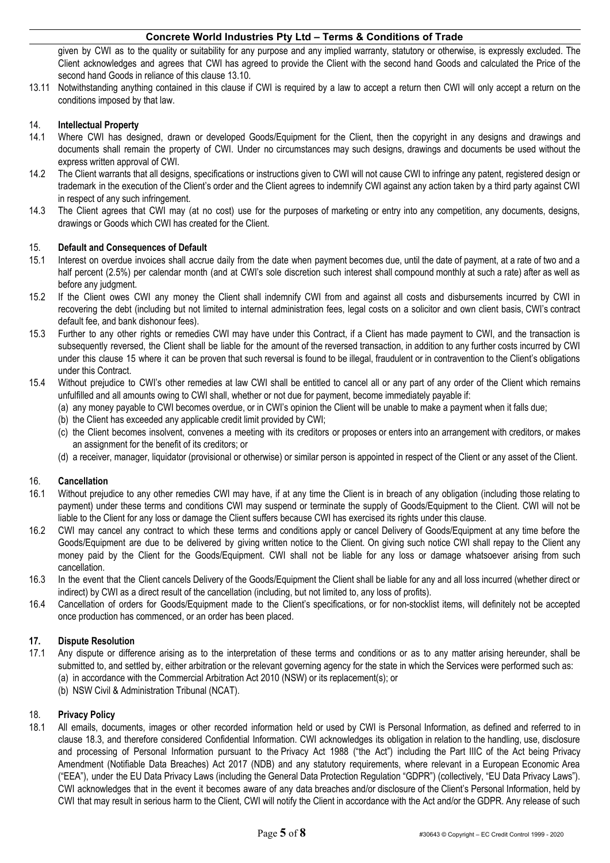given by CWI as to the quality or suitability for any purpose and any implied warranty, statutory or otherwise, is expressly excluded. The Client acknowledges and agrees that CWI has agreed to provide the Client with the second hand Goods and calculated the Price of the second hand Goods in reliance of this clause 13.10.

13.11 Notwithstanding anything contained in this clause if CWI is required by a law to accept a return then CWI will only accept a return on the conditions imposed by that law.

#### 14. **Intellectual Property**

- 14.1 Where CWI has designed, drawn or developed Goods/Equipment for the Client, then the copyright in any designs and drawings and documents shall remain the property of CWI. Under no circumstances may such designs, drawings and documents be used without the express written approval of CWI.
- 14.2 The Client warrants that all designs, specifications or instructions given to CWI will not cause CWI to infringe any patent, registered design or trademark in the execution of the Client's order and the Client agrees to indemnify CWI against any action taken by a third party against CWI in respect of any such infringement.
- 14.3 The Client agrees that CWI may (at no cost) use for the purposes of marketing or entry into any competition, any documents, designs, drawings or Goods which CWI has created for the Client.

#### 15. **Default and Consequences of Default**

- 15.1 Interest on overdue invoices shall accrue daily from the date when payment becomes due, until the date of payment, at a rate of two and a half percent (2.5%) per calendar month (and at CWI's sole discretion such interest shall compound monthly at such a rate) after as well as before any judgment.
- 15.2 If the Client owes CWI any money the Client shall indemnify CWI from and against all costs and disbursements incurred by CWI in recovering the debt (including but not limited to internal administration fees, legal costs on a solicitor and own client basis, CWI's contract default fee, and bank dishonour fees).
- 15.3 Further to any other rights or remedies CWI may have under this Contract, if a Client has made payment to CWI, and the transaction is subsequently reversed, the Client shall be liable for the amount of the reversed transaction, in addition to any further costs incurred by CWI under this clause 15 where it can be proven that such reversal is found to be illegal, fraudulent or in contravention to the Client's obligations under this Contract.
- 15.4 Without prejudice to CWI's other remedies at law CWI shall be entitled to cancel all or any part of any order of the Client which remains unfulfilled and all amounts owing to CWI shall, whether or not due for payment, become immediately payable if:
	- (a) any money payable to CWI becomes overdue, or in CWI's opinion the Client will be unable to make a payment when it falls due;
	- (b) the Client has exceeded any applicable credit limit provided by CWI;
	- (c) the Client becomes insolvent, convenes a meeting with its creditors or proposes or enters into an arrangement with creditors, or makes an assignment for the benefit of its creditors; or
	- (d) a receiver, manager, liquidator (provisional or otherwise) or similar person is appointed in respect of the Client or any asset of the Client.

## 16. **Cancellation**

- 16.1 Without prejudice to any other remedies CWI may have, if at any time the Client is in breach of any obligation (including those relating to payment) under these terms and conditions CWI may suspend or terminate the supply of Goods/Equipment to the Client. CWI will not be liable to the Client for any loss or damage the Client suffers because CWI has exercised its rights under this clause.
- 16.2 CWI may cancel any contract to which these terms and conditions apply or cancel Delivery of Goods/Equipment at any time before the Goods/Equipment are due to be delivered by giving written notice to the Client. On giving such notice CWI shall repay to the Client any money paid by the Client for the Goods/Equipment. CWI shall not be liable for any loss or damage whatsoever arising from such cancellation.
- 16.3 In the event that the Client cancels Delivery of the Goods/Equipment the Client shall be liable for any and all loss incurred (whether direct or indirect) by CWI as a direct result of the cancellation (including, but not limited to, any loss of profits).
- 16.4 Cancellation of orders for Goods/Equipment made to the Client's specifications, or for non-stocklist items, will definitely not be accepted once production has commenced, or an order has been placed.

## **17. Dispute Resolution**

- 17.1 Any dispute or difference arising as to the interpretation of these terms and conditions or as to any matter arising hereunder, shall be submitted to, and settled by, either arbitration or the relevant governing agency for the state in which the Services were performed such as: (a) in accordance with the Commercial Arbitration Act 2010 (NSW) or its replacement(s); or
	- (b) NSW Civil & Administration Tribunal (NCAT).

#### 18. **Privacy Policy**

18.1 All emails, documents, images or other recorded information held or used by CWI is Personal Information, as defined and referred to in clause 18.3, and therefore considered Confidential Information. CWI acknowledges its obligation in relation to the handling, use, disclosure and processing of Personal Information pursuant to the Privacy Act 1988 ("the Act") including the Part IIIC of the Act being Privacy Amendment (Notifiable Data Breaches) Act 2017 (NDB) and any statutory requirements, where relevant in a European Economic Area ("EEA"), under the EU Data Privacy Laws (including the General Data Protection Regulation "GDPR") (collectively, "EU Data Privacy Laws"). CWI acknowledges that in the event it becomes aware of any data breaches and/or disclosure of the Client's Personal Information, held by CWI that may result in serious harm to the Client, CWI will notify the Client in accordance with the Act and/or the GDPR. Any release of such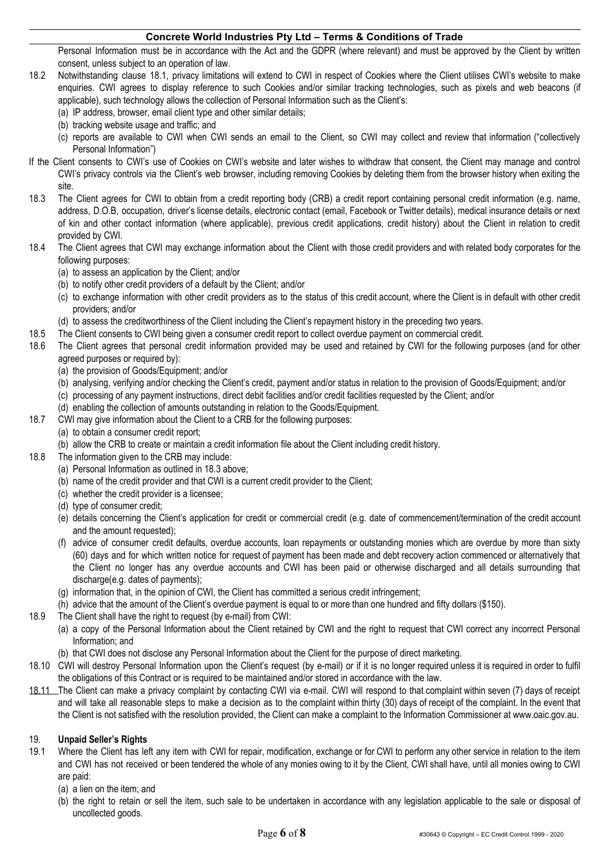Personal Information must be in accordance with the Act and the GDPR (where relevant) and must be approved by the Client by written consent, unless subject to an operation of law.

- 18.2 Notwithstanding clause 18.1, privacy limitations will extend to CWI in respect of Cookies where the Client utilises CWI's website to make enquiries. CWI agrees to display reference to such Cookies and/or similar tracking technologies, such as pixels and web beacons (if applicable), such technology allows the collection of Personal Information such as the Client's:
	- (a) IP address, browser, email client type and other similar details;
	- (b) tracking website usage and traffic; and
	- (c) reports are available to CWI when CWI sends an email to the Client, so CWI may collect and review that information ("collectively Personal Information")
- If the Client consents to CWI's use of Cookies on CWI's website and later wishes to withdraw that consent, the Client may manage and control CWI's privacy controls via the Client's web browser, including removing Cookies by deleting them from the browser history when exiting the site.
- 18.3 The Client agrees for CWI to obtain from a credit reporting body (CRB) a credit report containing personal credit information (e.g. name, address, D.O.B, occupation, driver's license details, electronic contact (email, Facebook or Twitter details), medical insurance details or next of kin and other contact information (where applicable), previous credit applications, credit history) about the Client in relation to credit provided by CWI.
- 18.4 The Client agrees that CWI may exchange information about the Client with those credit providers and with related body corporates for the following purposes:
	- (a) to assess an application by the Client; and/or
	- (b) to notify other credit providers of a default by the Client; and/or
	- (c) to exchange information with other credit providers as to the status of this credit account, where the Client is in default with other credit providers; and/or
	- (d) to assess the creditworthiness of the Client including the Client's repayment history in the preceding two years.
- 18.5 The Client consents to CWI being given a consumer credit report to collect overdue payment on commercial credit.
- 18.6 The Client agrees that personal credit information provided may be used and retained by CWI for the following purposes (and for other agreed purposes or required by):
	- (a) the provision of Goods/Equipment; and/or
	- (b) analysing, verifying and/or checking the Client's credit, payment and/or status in relation to the provision of Goods/Equipment; and/or
	- (c) processing of any payment instructions, direct debit facilities and/or credit facilities requested by the Client; and/or
	- (d) enabling the collection of amounts outstanding in relation to the Goods/Equipment.
- 18.7 CWI may give information about the Client to a CRB for the following purposes:
	- (a) to obtain a consumer credit report;
	- (b) allow the CRB to create or maintain a credit information file about the Client including credit history.
- 18.8 The information given to the CRB may include:
	- (a) Personal Information as outlined in 18.3 above;
	- (b) name of the credit provider and that CWI is a current credit provider to the Client;
	- (c) whether the credit provider is a licensee;
	- (d) type of consumer credit;
	- (e) details concerning the Client's application for credit or commercial credit (e.g. date of commencement/termination of the credit account and the amount requested);
	- (f) advice of consumer credit defaults, overdue accounts, loan repayments or outstanding monies which are overdue by more than sixty (60) days and for which written notice for request of payment has been made and debt recovery action commenced or alternatively that the Client no longer has any overdue accounts and CWI has been paid or otherwise discharged and all details surrounding that discharge(e.g. dates of payments);
	- (g) information that, in the opinion of CWI, the Client has committed a serious credit infringement;
	- (h) advice that the amount of the Client's overdue payment is equal to or more than one hundred and fifty dollars (\$150).
- 18.9 The Client shall have the right to request (by e-mail) from CWI:
	- (a) a copy of the Personal Information about the Client retained by CWI and the right to request that CWI correct any incorrect Personal Information; and
	- (b) that CWI does not disclose any Personal Information about the Client for the purpose of direct marketing.
- 18.10 CWI will destroy Personal Information upon the Client's request (by e-mail) or if it is no longer required unless it is required in order to fulfil the obligations of this Contract or is required to be maintained and/or stored in accordance with the law.
- 18.11 The Client can make a privacy complaint by contacting CWI via e-mail. CWI will respond to that complaint within seven (7) days of receipt and will take all reasonable steps to make a decision as to the complaint within thirty (30) days of receipt of the complaint. In the event that the Client is not satisfied with the resolution provided, the Client can make a complaint to the Information Commissioner at www.oaic.gov.au.

## 19. **Unpaid Seller's Rights**

- 19.1 Where the Client has left any item with CWI for repair, modification, exchange or for CWI to perform any other service in relation to the item and CWI has not received or been tendered the whole of any monies owing to it by the Client, CWI shall have, until all monies owing to CWI are paid:
	- (a) a lien on the item; and
	- (b) the right to retain or sell the item, such sale to be undertaken in accordance with any legislation applicable to the sale or disposal of uncollected goods.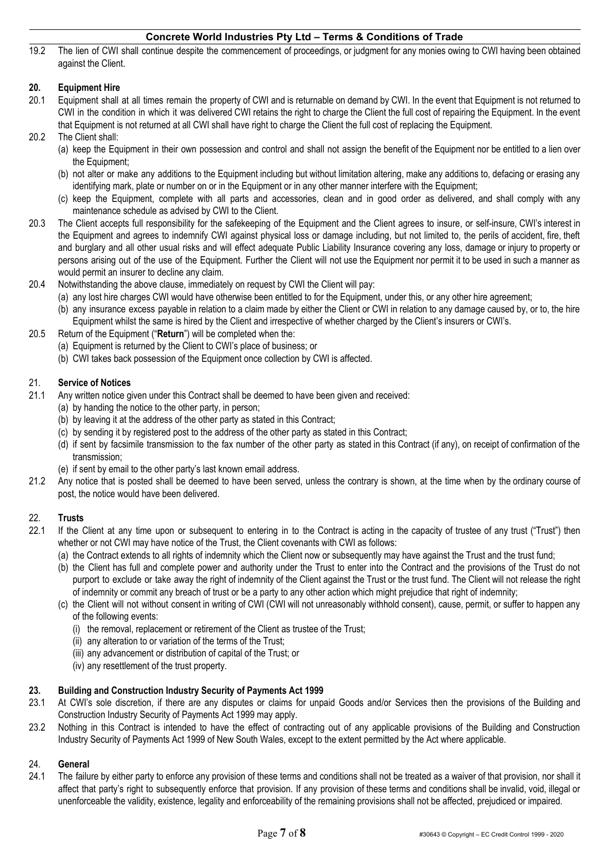19.2 The lien of CWI shall continue despite the commencement of proceedings, or judgment for any monies owing to CWI having been obtained against the Client.

# **20. Equipment Hire**

- 20.1 Equipment shall at all times remain the property of CWI and is returnable on demand by CWI. In the event that Equipment is not returned to CWI in the condition in which it was delivered CWI retains the right to charge the Client the full cost of repairing the Equipment. In the event that Equipment is not returned at all CWI shall have right to charge the Client the full cost of replacing the Equipment.
- 20.2 The Client shall:
	- (a) keep the Equipment in their own possession and control and shall not assign the benefit of the Equipment nor be entitled to a lien over the Equipment;
	- (b) not alter or make any additions to the Equipment including but without limitation altering, make any additions to, defacing or erasing any identifying mark, plate or number on or in the Equipment or in any other manner interfere with the Equipment;
	- (c) keep the Equipment, complete with all parts and accessories, clean and in good order as delivered, and shall comply with any maintenance schedule as advised by CWI to the Client.
- 20.3 The Client accepts full responsibility for the safekeeping of the Equipment and the Client agrees to insure, or self-insure, CWI's interest in the Equipment and agrees to indemnify CWI against physical loss or damage including, but not limited to, the perils of accident, fire, theft and burglary and all other usual risks and will effect adequate Public Liability Insurance covering any loss, damage or injury to property or persons arising out of the use of the Equipment. Further the Client will not use the Equipment nor permit it to be used in such a manner as would permit an insurer to decline any claim.
- 20.4 Notwithstanding the above clause, immediately on request by CWI the Client will pay:
	- (a) any lost hire charges CWI would have otherwise been entitled to for the Equipment, under this, or any other hire agreement;
	- (b) any insurance excess payable in relation to a claim made by either the Client or CWI in relation to any damage caused by, or to, the hire Equipment whilst the same is hired by the Client and irrespective of whether charged by the Client's insurers or CWI's.
- 20.5 Return of the Equipment ("**Return**") will be completed when the:
	- (a) Equipment is returned by the Client to CWI's place of business; or
	- (b) CWI takes back possession of the Equipment once collection by CWI is affected.

## 21. **Service of Notices**

- 21.1 Any written notice given under this Contract shall be deemed to have been given and received:
	- (a) by handing the notice to the other party, in person;
	- (b) by leaving it at the address of the other party as stated in this Contract;
	- (c) by sending it by registered post to the address of the other party as stated in this Contract;
	- (d) if sent by facsimile transmission to the fax number of the other party as stated in this Contract (if any), on receipt of confirmation of the transmission;
	- (e) if sent by email to the other party's last known email address.
- 21.2 Any notice that is posted shall be deemed to have been served, unless the contrary is shown, at the time when by the ordinary course of post, the notice would have been delivered.

# 22. **Trusts**

- 22.1 If the Client at any time upon or subsequent to entering in to the Contract is acting in the capacity of trustee of any trust ("Trust") then whether or not CWI may have notice of the Trust, the Client covenants with CWI as follows:
	- (a) the Contract extends to all rights of indemnity which the Client now or subsequently may have against the Trust and the trust fund;
	- (b) the Client has full and complete power and authority under the Trust to enter into the Contract and the provisions of the Trust do not purport to exclude or take away the right of indemnity of the Client against the Trust or the trust fund. The Client will not release the right of indemnity or commit any breach of trust or be a party to any other action which might prejudice that right of indemnity;
	- (c) the Client will not without consent in writing of CWI (CWI will not unreasonably withhold consent), cause, permit, or suffer to happen any of the following events:
		- (i) the removal, replacement or retirement of the Client as trustee of the Trust;
		- (ii) any alteration to or variation of the terms of the Trust;
		- (iii) any advancement or distribution of capital of the Trust; or
		- (iv) any resettlement of the trust property.

## **23. Building and Construction Industry Security of Payments Act 1999**

- 23.1 At CWI's sole discretion, if there are any disputes or claims for unpaid Goods and/or Services then the provisions of the Building and Construction Industry Security of Payments Act 1999 may apply.
- 23.2 Nothing in this Contract is intended to have the effect of contracting out of any applicable provisions of the Building and Construction Industry Security of Payments Act 1999 of New South Wales, except to the extent permitted by the Act where applicable.

## 24. **General**

24.1 The failure by either party to enforce any provision of these terms and conditions shall not be treated as a waiver of that provision, nor shall it affect that party's right to subsequently enforce that provision. If any provision of these terms and conditions shall be invalid, void, illegal or unenforceable the validity, existence, legality and enforceability of the remaining provisions shall not be affected, prejudiced or impaired.